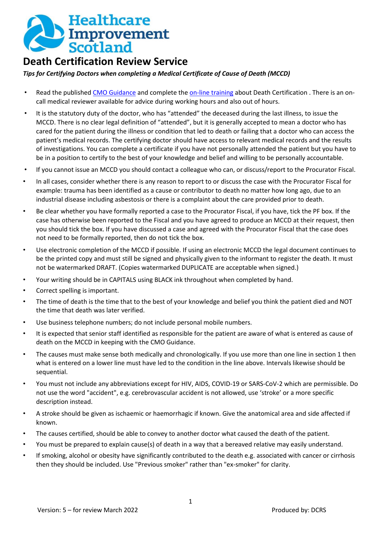

## **Death Certification Review Service**

*Tips for Certifying Doctors when completing a Medical Certificate of Cause of Death (MCCD)* 

- Read the published [CMO Guidance](https://www.sehd.scot.nhs.uk/cmo/CMO(2018)11.pdf) and complete the [on-line training](https://learn.nes.nhs.scot/6462/death-dying-and-bereavement/death-certification) about Death Certification . There is an oncall medical reviewer available for advice during working hours and also out of hours.
- It is the statutory duty of the doctor, who has "attended" the deceased during the last illness, to issue the MCCD. There is no clear legal definition of "attended", but it is generally accepted to mean a doctor who has cared for the patient during the illness or condition that led to death or failing that a doctor who can access the patient's medical records. The certifying doctor should have access to relevant medical records and the results of investigations. You can complete a certificate if you have not personally attended the patient but you have to be in a position to certify to the best of your knowledge and belief and willing to be personally accountable.
- If you cannot issue an MCCD you should contact a colleague who can, or discuss/report to the Procurator Fiscal.
- In all cases, consider whether there is any reason to report to or discuss the case with the Procurator Fiscal for example: trauma has been identified as a cause or contributor to death no matter how long ago, due to an industrial disease including asbestosis or there is a complaint about the care provided prior to death.
- Be clear whether you have formally reported a case to the Procurator Fiscal, if you have, tick the PF box. If the case has otherwise been reported to the Fiscal and you have agreed to produce an MCCD at their request, then you should tick the box. If you have discussed a case and agreed with the Procurator Fiscal that the case does not need to be formally reported, then do not tick the box.
- Use electronic completion of the MCCD if possible. If using an electronic MCCD the legal document continues to be the printed copy and must still be signed and physically given to the informant to register the death. It must not be watermarked DRAFT. (Copies watermarked DUPLICATE are acceptable when signed.)
- Your writing should be in CAPITALS using BLACK ink throughout when completed by hand.
- Correct spelling is important.
- The time of death is the time that to the best of your knowledge and belief you think the patient died and NOT the time that death was later verified.
- Use business telephone numbers; do not include personal mobile numbers.
- It is expected that senior staff identified as responsible for the patient are aware of what is entered as cause of death on the MCCD in keeping with the CMO Guidance.
- The causes must make sense both medically and chronologically. If you use more than one line in section 1 then what is entered on a lower line must have led to the condition in the line above. Intervals likewise should be sequential.
- You must not include any abbreviations except for HIV, AIDS, COVID-19 or SARS-CoV-2 which are permissible. Do not use the word "accident", e.g. cerebrovascular accident is not allowed, use 'stroke' or a more specific description instead.
- A stroke should be given as ischaemic or haemorrhagic if known. Give the anatomical area and side affected if known.
- The causes certified, should be able to convey to another doctor what caused the death of the patient.
- You must be prepared to explain cause(s) of death in a way that a bereaved relative may easily understand.
- If smoking, alcohol or obesity have significantly contributed to the death e.g. associated with cancer or cirrhosis then they should be included. Use "Previous smoker" rather than "ex-smoker" for clarity.